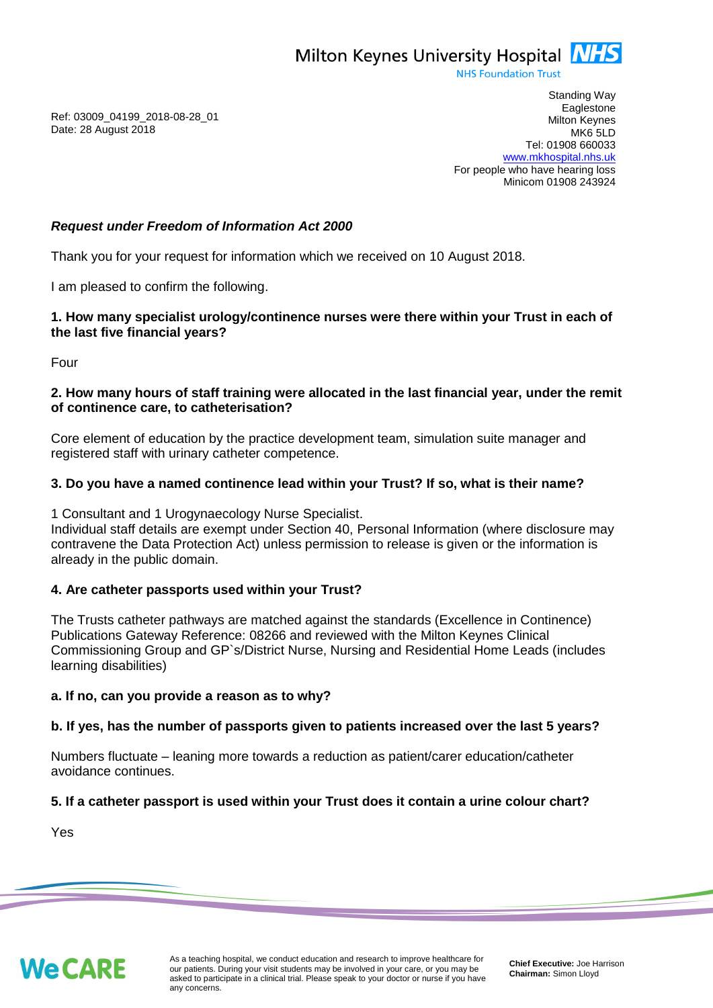Milton Keynes University Hospital **NHS** 

**NHS Foundation Trust** 

Ref: 03009\_04199\_2018-08-28\_01 Date: 28 August 2018

Standing Way **Eaglestone** Milton Keynes MK6 5LD Tel: 01908 660033 [www.mkhospital.nhs.uk](http://www.mkhospital.nhs.uk/) For people who have hearing loss Minicom 01908 243924

## *Request under Freedom of Information Act 2000*

Thank you for your request for information which we received on 10 August 2018.

I am pleased to confirm the following.

## **1. How many specialist urology/continence nurses were there within your Trust in each of the last five financial years?**

Four

### **2. How many hours of staff training were allocated in the last financial year, under the remit of continence care, to catheterisation?**

Core element of education by the practice development team, simulation suite manager and registered staff with urinary catheter competence.

# **3. Do you have a named continence lead within your Trust? If so, what is their name?**

1 Consultant and 1 Urogynaecology Nurse Specialist.

Individual staff details are exempt under Section 40, Personal Information (where disclosure may contravene the Data Protection Act) unless permission to release is given or the information is already in the public domain.

### **4. Are catheter passports used within your Trust?**

The Trusts catheter pathways are matched against the standards (Excellence in Continence) Publications Gateway Reference: 08266 and reviewed with the Milton Keynes Clinical Commissioning Group and GP`s/District Nurse, Nursing and Residential Home Leads (includes learning disabilities)

### **a. If no, can you provide a reason as to why?**

### **b. If yes, has the number of passports given to patients increased over the last 5 years?**

Numbers fluctuate – leaning more towards a reduction as patient/carer education/catheter avoidance continues.

### **5. If a catheter passport is used within your Trust does it contain a urine colour chart?**

Yes